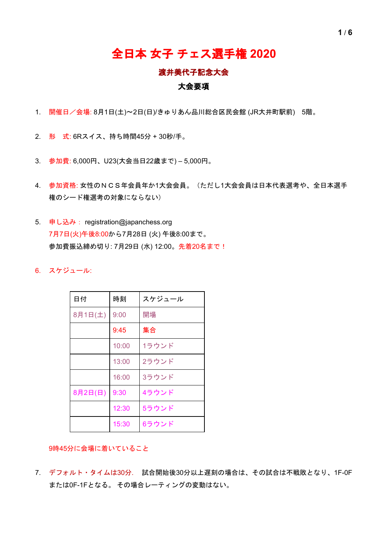## 全日本 女子 チェス選手権 **2020**

### 渡井美代子記念大会

### 大会要項

- 1. 開催日/会場: 8月1日(土)~2日(日)/きゅりあん品川総合区民会館 (JR大井町駅前) 5階。
- 2. 形 式: 6Rスイス、持ち時間45分 + 30秒/手。
- 3. 参加費: 6,000円、U23(大会当日22歳まで) 5,000円。
- 4. 参加資格: 女性のNCS年会員年か1大会会員。(ただし1大会会員は日本代表選考や、全日本選手 権のシード権選考の対象にならない)
- 5. 申し込み: registration@japanchess.org 7月7日(火)午後8:00から7月28日 (火) 午後8:00まで。 参加費振込締め切り: 7月29日 (水) 12:00。先着20名まで!
- 6. スケジュール:

| 日付      | 時刻    | スケジュール |
|---------|-------|--------|
| 8月1日(土) | 9:00  | 開場     |
|         | 9:45  | 集合     |
|         | 10:00 | 1ラウンド  |
|         | 13:00 | 2ラウンド  |
|         | 16:00 | 3ラウンド  |
| 8月2日(日) | 9:30  | 4ラウンド  |
|         | 12:30 | 5ラウンド  |
|         | 15:30 | 6ラウンド  |

9時45分に会場に着いていること

7. デフォルト・タイムは30分. 試合開始後30分以上遅刻の場合は、その試合は不戦敗となり、1F-0F または0F-1Fとなる。 その場合レーティングの変動はない。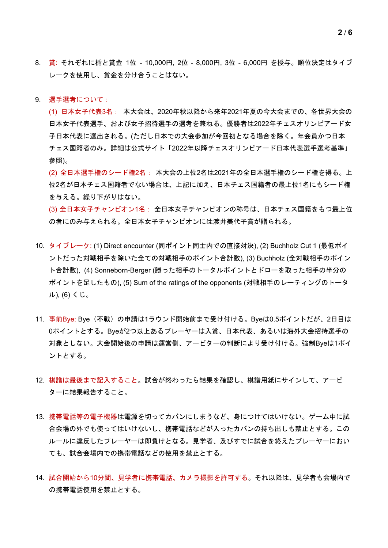- 8. 賞: それぞれに楯と賞金 1位 10,000円, 2位 8,000円, 3位 6,000円 を授与。順位決定はタイブ レークを使用し、賞金を分け合うことはない。
- 9. 選手選考について:

(1) 日本女子代表3名: 本大会は、2020年秋以降から来年2021年夏の今大会までの、各世界大会の 日本女子代表選手、および女子招待選手の選考を兼ねる。優勝者は2022年チェスオリンピアード女 子日本代表に選出される。(ただし日本での大会参加が今回初となる場合を除く。年会員かつ日本 チェス国籍者のみ。詳細は公式サイト「2022年以降チェスオリンピアード日本代表選手選考基準」 参照)。

(2) 全日本選手権のシード権2名: 本大会の上位2名は2021年の全日本選手権のシード権を得る。上 位2名が日本チェス国籍者でない場合は、上記に加え、日本チェス国籍者の最上位1名にもシード権 を与える。繰り下がりはない。

(3) 全日本女子チャンピオン1名: 全日本女子チャンピオンの称号は、日本チェス国籍をもつ最上位 の者にのみ与えられる。全日本女子チャンピオンには渡井美代子賞が贈られる。

- 10. タイブレーク: (1) Direct encounter (同ポイント同士内での直接対決), (2) Buchholz Cut 1 (最低ポイ ントだった対戦相手を除いた全ての対戦相手のポイント合計数), (3) Buchholz (全対戦相手のポイン ト合計数), (4) Sonneborn-Berger (勝った相手のトータルポイントとドローを取った相手の半分の ポイントを足したもの), (5) Sum of the ratings of the opponents (対戦相手のレーティングのトータ ル), (6) くじ。
- 11. 事前Bye: Bye(不戦)の申請は1ラウンド開始前まで受け付ける。Byeは0.5ポイントだが、2日目は 0ポイントとする。Byeが2つ以上あるプレーヤーは入賞、日本代表、あるいは海外大会招待選手の 対象としない。大会開始後の申請は運営側、アービターの判断により受け付ける。強制Byeは1ポイ ントとする。
- 12. 棋譜は最後まで記入すること。試合が終わったら結果を確認し、棋譜用紙にサインして、アービ ターに結果報告すること。
- 13. 携帯電話等の電子機器は電源を切ってカバンにしまうなど、身につけてはいけない。ゲーム中に試 合会場の外でも使ってはいけないし、携帯電話などが入ったカバンの持ち出しも禁止とする。この ルールに違反したプレーヤーは即負けとなる。見学者、及びすでに試合を終えたプレーヤーにおい ても、試合会場内での携帯電話などの使用を禁止とする。
- 14. 試合開始から10分間、見学者に携帯電話、カメラ撮影を許可する。それ以降は、見学者も会場内で の携帯電話使用を禁止とする。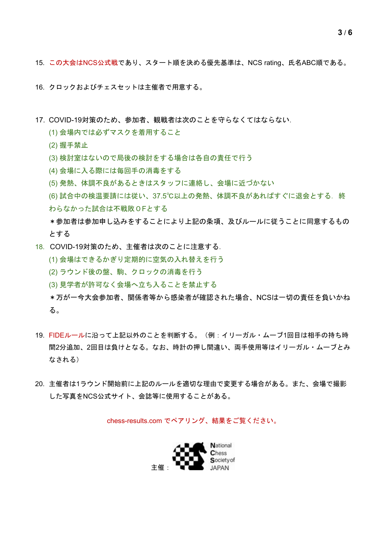- 15. この大会はNCS公式戦であり、スタート順を決める優先基準は、NCS rating、氏名ABC順である。
- 16. クロックおよびチェスセットは主催者で用意する。
- 17. COVID-19対策のため、参加者、観戦者は次のことを守らなくてはならない.
	- (1) 会場内では必ずマスクを着用すること
	- (2) 握手禁止
	- (3) 検討室はないので局後の検討をする場合は各自の責任で行う
	- (4) 会場に入る際には毎回手の消毒をする
	- (5) 発熱、体調不良があるときはスタッフに連絡し、会場に近づかない
	- (6) 試合中の検温要請には従い、37.5℃以上の発熱、体調不良があればすぐに退会とする.終 わらなかった試合は不戦敗0Fとする
	- \*参加者は参加申し込みをすることにより上記の条項、及びルールに従うことに同意するもの とする
- 18. COVID-19対策のため、主催者は次のことに注意する.
	- (1) 会場はできるかぎり定期的に空気の入れ替えを行う
	- (2) ラウンド後の盤、駒、クロックの消毒を行う
	- (3) 見学者が許可なく会場へ立ち入ることを禁止する
	- \*万が一今大会参加者、関係者等から感染者が確認された場合、NCSは一切の責任を負いかね る。
- 19. FIDEルールに沿って上記以外のことを判断する。(例:イリーガル・ムーブ1回目は相手の持ち時 間2分追加、2回目は負けとなる。なお、時計の押し間違い、両手使用等はイリーガル・ムーブとみ なされる)
- 20. 主催者は1ラウンド開始前に上記のルールを適切な理由で変更する場合がある。また、会場で撮影 した写真をNCS公式サイト、会誌等に使用することがある。

chess-results.com でペアリング、結果をご覧ください。

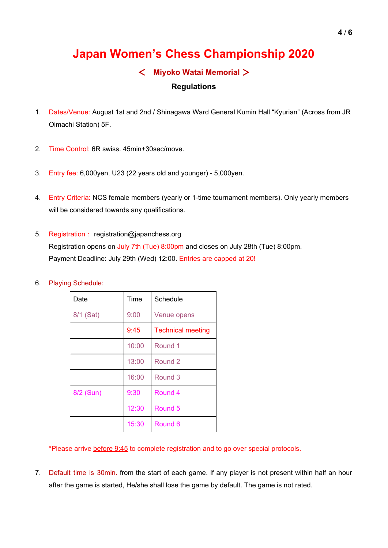# **Japan Women's Chess Championship 2020**

### < **Miyoko Watai Memorial** >

### **Regulations**

- 1. Dates/Venue: August 1st and 2nd / Shinagawa Ward General Kumin Hall "Kyurian" (Across from JR Oimachi Station) 5F.
- 2. Time Control: 6R swiss. 45min+30sec/move.
- 3. Entry fee: 6,000yen, U23 (22 years old and younger) 5,000yen.
- 4. Entry Criteria: NCS female members (yearly or 1-time tournament members). Only yearly members will be considered towards any qualifications.
- 5. Registration: registration@japanchess.org Registration opens on July 7th (Tue) 8:00pm and closes on July 28th (Tue) 8:00pm. Payment Deadline: July 29th (Wed) 12:00. Entries are capped at 20!
- 6. Playing Schedule:

| Date      | <b>Time</b> | Schedule                 |
|-----------|-------------|--------------------------|
| 8/1 (Sat) | 9:00        | <b>Venue opens</b>       |
|           | 9:45        | <b>Technical meeting</b> |
|           | 10:00       | Round 1                  |
|           | 13:00       | Round 2                  |
|           | 16:00       | Round 3                  |
| 8/2 (Sun) | 9:30        | Round 4                  |
|           | 12:30       | Round 5                  |
|           | 15:30       | Round <sub>6</sub>       |

\*Please arrive before 9:45 to complete registration and to go over special protocols.

7. Default time is 30min. from the start of each game. If any player is not present within half an hour after the game is started, He/she shall lose the game by default. The game is not rated.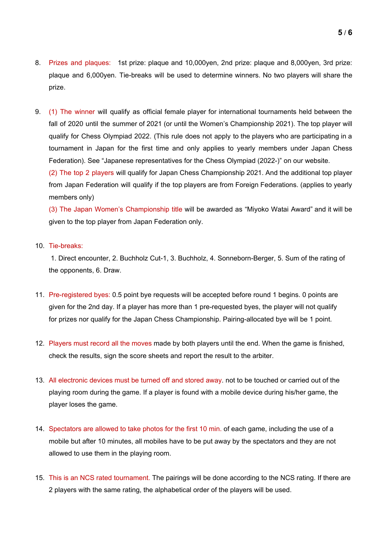- 8. Prizes and plaques: 1st prize: plaque and 10,000yen, 2nd prize: plaque and 8,000yen, 3rd prize: plaque and 6,000yen. Tie-breaks will be used to determine winners. No two players will share the prize.
- 9. (1) The winner will qualify as official female player for international tournaments held between the fall of 2020 until the summer of 2021 (or until the Women's Championship 2021). The top player will qualify for Chess Olympiad 2022. (This rule does not apply to the players who are participating in a tournament in Japan for the first time and only applies to yearly members under Japan Chess Federation). See "Japanese representatives for the Chess Olympiad (2022-)" on our website.

(2) The top 2 players will qualify for Japan Chess Championship 2021. And the additional top player from Japan Federation will qualify if the top players are from Foreign Federations. (applies to yearly members only)

(3) The Japan Women's Championship title will be awarded as "Miyoko Watai Award" and it will be given to the top player from Japan Federation only.

#### 10. Tie-breaks:

1. Direct encounter, 2. Buchholz Cut-1, 3. Buchholz, 4. Sonneborn-Berger, 5. Sum of the rating of the opponents, 6. Draw.

- 11. Pre-registered byes: 0.5 point bye requests will be accepted before round 1 begins. 0 points are given for the 2nd day. If a player has more than 1 pre-requested byes, the player will not qualify for prizes nor qualify for the Japan Chess Championship. Pairing-allocated bye will be 1 point.
- 12. Players must record all the moves made by both players until the end. When the game is finished, check the results, sign the score sheets and report the result to the arbiter.
- 13. All electronic devices must be turned off and stored away. not to be touched or carried out of the playing room during the game. If a player is found with a mobile device during his/her game, the player loses the game.
- 14. Spectators are allowed to take photos for the first 10 min. of each game, including the use of a mobile but after 10 minutes, all mobiles have to be put away by the spectators and they are not allowed to use them in the playing room.
- 15. This is an NCS rated tournament. The pairings will be done according to the NCS rating. If there are 2 players with the same rating, the alphabetical order of the players will be used.